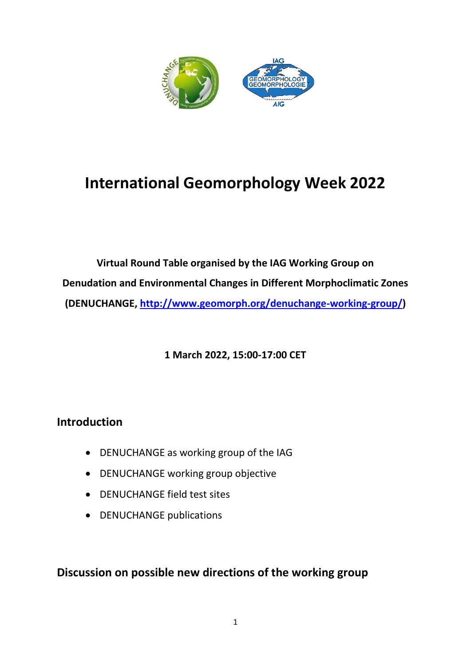

# **International Geomorphology Week 2022**

**Virtual Round Table organised by the IAG Working Group on Denudation and Environmental Changes in Different Morphoclimatic Zones (DENUCHANGE, [http://www.geomorph.org/denuchange-working-group/\)](http://www.geomorph.org/denuchange-working-group/)**

**1 March 2022, 15:00-17:00 CET**

# **Introduction**

- DENUCHANGE as working group of the IAG
- DENUCHANGE working group objective
- DENUCHANGE field test sites
- DENUCHANGE publications

**Discussion on possible new directions of the working group**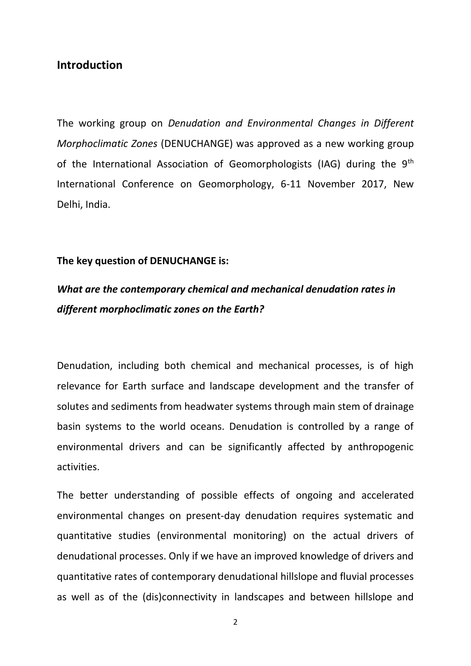# **Introduction**

The working group on *Denudation and Environmental Changes in Different Morphoclimatic Zones* (DENUCHANGE) was approved as a new working group of the International Association of Geomorphologists (IAG) during the 9<sup>th</sup> International Conference on Geomorphology, 6-11 November 2017, New Delhi, India.

## **The key question of DENUCHANGE is:**

# *What are the contemporary chemical and mechanical denudation rates in different morphoclimatic zones on the Earth?*

Denudation, including both chemical and mechanical processes, is of high relevance for Earth surface and landscape development and the transfer of solutes and sediments from headwater systems through main stem of drainage basin systems to the world oceans. Denudation is controlled by a range of environmental drivers and can be significantly affected by anthropogenic activities.

The better understanding of possible effects of ongoing and accelerated environmental changes on present-day denudation requires systematic and quantitative studies (environmental monitoring) on the actual drivers of denudational processes. Only if we have an improved knowledge of drivers and quantitative rates of contemporary denudational hillslope and fluvial processes as well as of the (dis)connectivity in landscapes and between hillslope and

2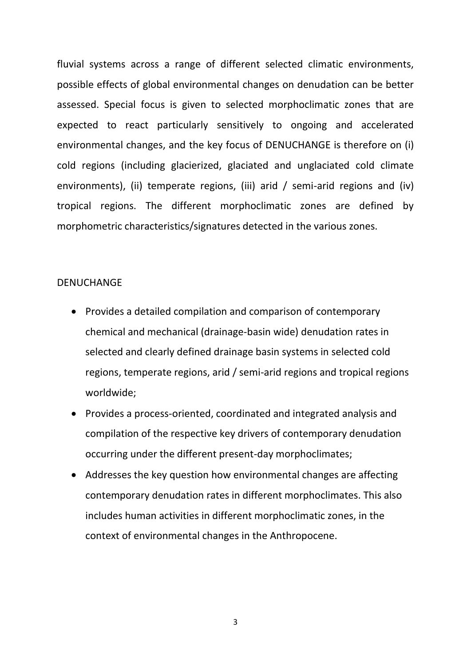fluvial systems across a range of different selected climatic environments, possible effects of global environmental changes on denudation can be better assessed. Special focus is given to selected morphoclimatic zones that are expected to react particularly sensitively to ongoing and accelerated environmental changes, and the key focus of DENUCHANGE is therefore on (i) cold regions (including glacierized, glaciated and unglaciated cold climate environments), (ii) temperate regions, (iii) arid / semi-arid regions and (iv) tropical regions. The different morphoclimatic zones are defined by morphometric characteristics/signatures detected in the various zones.

## DENUCHANGE

- Provides a detailed compilation and comparison of contemporary chemical and mechanical (drainage-basin wide) denudation rates in selected and clearly defined drainage basin systems in selected cold regions, temperate regions, arid / semi-arid regions and tropical regions worldwide;
- Provides a process-oriented, coordinated and integrated analysis and compilation of the respective key drivers of contemporary denudation occurring under the different present-day morphoclimates;
- Addresses the key question how environmental changes are affecting contemporary denudation rates in different morphoclimates. This also includes human activities in different morphoclimatic zones, in the context of environmental changes in the Anthropocene.

3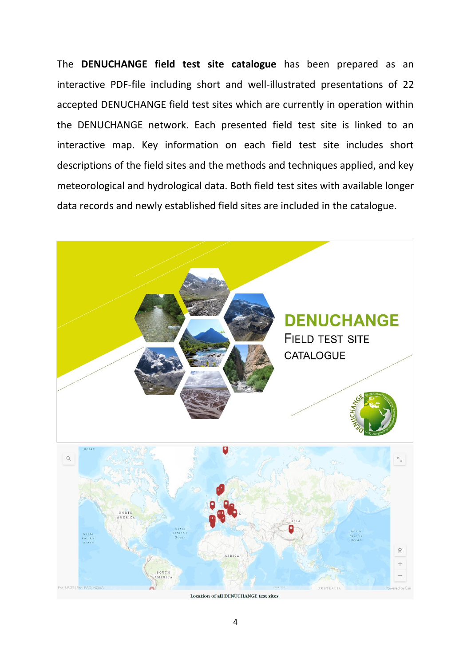The **DENUCHANGE field test site catalogue** has been prepared as an interactive PDF-file including short and well-illustrated presentations of 22 accepted DENUCHANGE field test sites which are currently in operation within the DENUCHANGE network. Each presented field test site is linked to an interactive map. Key information on each field test site includes short descriptions of the field sites and the methods and techniques applied, and key meteorological and hydrological data. Both field test sites with available longer data records and newly established field sites are included in the catalogue.



Location of all DENUCHANGE test sites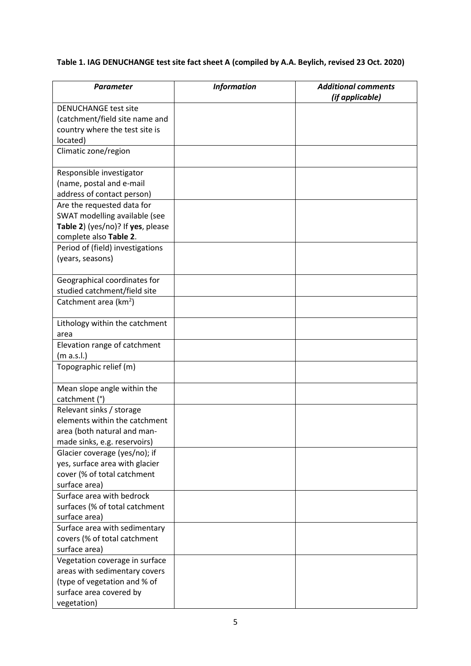# **Table 1. IAG DENUCHANGE test site fact sheet A (compiled by A.A. Beylich, revised 23 Oct. 2020)**

| Parameter                                                    | <b>Information</b> | <b>Additional comments</b><br>(if applicable) |
|--------------------------------------------------------------|--------------------|-----------------------------------------------|
| <b>DENUCHANGE test site</b>                                  |                    |                                               |
| (catchment/field site name and                               |                    |                                               |
| country where the test site is                               |                    |                                               |
| located)                                                     |                    |                                               |
| Climatic zone/region                                         |                    |                                               |
| Responsible investigator                                     |                    |                                               |
| (name, postal and e-mail                                     |                    |                                               |
| address of contact person)                                   |                    |                                               |
| Are the requested data for                                   |                    |                                               |
| SWAT modelling available (see                                |                    |                                               |
| Table 2) (yes/no)? If yes, please                            |                    |                                               |
| complete also Table 2.                                       |                    |                                               |
| Period of (field) investigations                             |                    |                                               |
| (years, seasons)                                             |                    |                                               |
| Geographical coordinates for<br>studied catchment/field site |                    |                                               |
| Catchment area (km <sup>2</sup> )                            |                    |                                               |
|                                                              |                    |                                               |
| Lithology within the catchment                               |                    |                                               |
| area                                                         |                    |                                               |
| Elevation range of catchment                                 |                    |                                               |
| (m a.s.l.)                                                   |                    |                                               |
| Topographic relief (m)                                       |                    |                                               |
| Mean slope angle within the                                  |                    |                                               |
| catchment (°)                                                |                    |                                               |
| Relevant sinks / storage                                     |                    |                                               |
| elements within the catchment                                |                    |                                               |
| area (both natural and man-                                  |                    |                                               |
| made sinks, e.g. reservoirs)                                 |                    |                                               |
| Glacier coverage (yes/no); if                                |                    |                                               |
| yes, surface area with glacier                               |                    |                                               |
| cover (% of total catchment                                  |                    |                                               |
| surface area)                                                |                    |                                               |
| Surface area with bedrock                                    |                    |                                               |
| surfaces (% of total catchment                               |                    |                                               |
| surface area)                                                |                    |                                               |
| Surface area with sedimentary                                |                    |                                               |
| covers (% of total catchment                                 |                    |                                               |
| surface area)                                                |                    |                                               |
| Vegetation coverage in surface                               |                    |                                               |
| areas with sedimentary covers                                |                    |                                               |
| (type of vegetation and % of                                 |                    |                                               |
| surface area covered by                                      |                    |                                               |
| vegetation)                                                  |                    |                                               |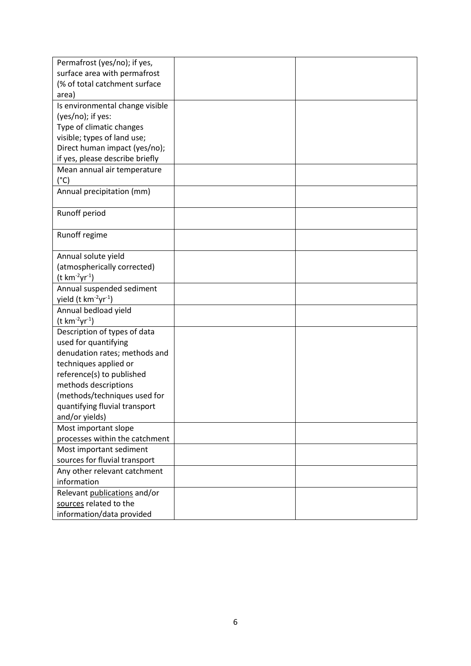| Permafrost (yes/no); if yes,                 |  |
|----------------------------------------------|--|
| surface area with permafrost                 |  |
| (% of total catchment surface                |  |
| area)                                        |  |
| Is environmental change visible              |  |
| (yes/no); if yes:                            |  |
| Type of climatic changes                     |  |
| visible; types of land use;                  |  |
| Direct human impact (yes/no);                |  |
| if yes, please describe briefly              |  |
| Mean annual air temperature                  |  |
| $(^{\circ}C)$                                |  |
| Annual precipitation (mm)                    |  |
|                                              |  |
| Runoff period                                |  |
|                                              |  |
| Runoff regime                                |  |
|                                              |  |
| Annual solute yield                          |  |
| (atmospherically corrected)                  |  |
| $(t \ km^{-2}yr^{-1})$                       |  |
| Annual suspended sediment                    |  |
| yield (t km <sup>-2</sup> yr <sup>-1</sup> ) |  |
| Annual bedload yield                         |  |
| $(t \, km^{-2}yr^{-1})$                      |  |
| Description of types of data                 |  |
| used for quantifying                         |  |
| denudation rates; methods and                |  |
| techniques applied or                        |  |
| reference(s) to published                    |  |
| methods descriptions                         |  |
| (methods/techniques used for                 |  |
| quantifying fluvial transport                |  |
| and/or yields)                               |  |
| Most important slope                         |  |
| processes within the catchment               |  |
| Most important sediment                      |  |
| sources for fluvial transport                |  |
| Any other relevant catchment                 |  |
| information                                  |  |
| Relevant publications and/or                 |  |
| sources related to the                       |  |
| information/data provided                    |  |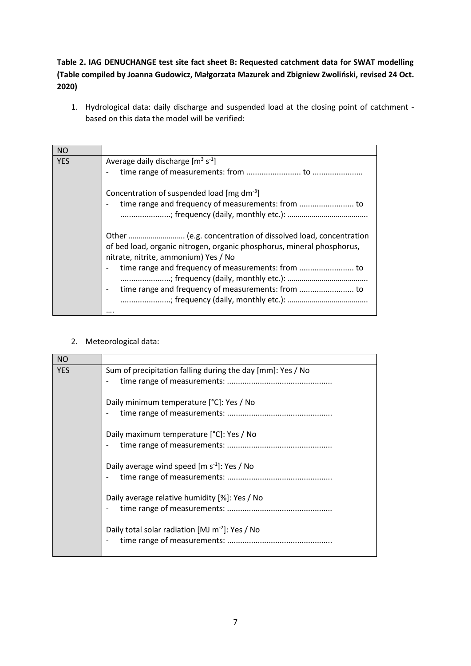# **Table 2. IAG DENUCHANGE test site fact sheet B: Requested catchment data for SWAT modelling (Table compiled by Joanna Gudowicz, Małgorzata Mazurek and Zbigniew Zwoliński, revised 24 Oct. 2020)**

1. Hydrological data: daily discharge and suspended load at the closing point of catchment based on this data the model will be verified:

| <b>NO</b>  |                                                                        |
|------------|------------------------------------------------------------------------|
| <b>YES</b> | Average daily discharge $[m^3 s^1]$                                    |
|            |                                                                        |
|            | Concentration of suspended load [mg dm <sup>-3</sup> ]                 |
|            |                                                                        |
|            |                                                                        |
|            |                                                                        |
|            | of bed load, organic nitrogen, organic phosphorus, mineral phosphorus, |
|            | nitrate, nitrite, ammonium) Yes / No                                   |
|            | $\overline{\phantom{0}}$                                               |
|            |                                                                        |
|            |                                                                        |
|            |                                                                        |
|            |                                                                        |

#### 2. Meteorological data:

| <b>NO</b>  |                                                             |
|------------|-------------------------------------------------------------|
| <b>YES</b> | Sum of precipitation falling during the day [mm]: Yes / No  |
|            | Daily minimum temperature [°C]: Yes / No                    |
|            | Daily maximum temperature [°C]: Yes / No                    |
|            | Daily average wind speed $[m s-1]$ : Yes / No               |
|            | Daily average relative humidity [%]: Yes / No               |
|            | Daily total solar radiation [MJ m <sup>-2</sup> ]: Yes / No |